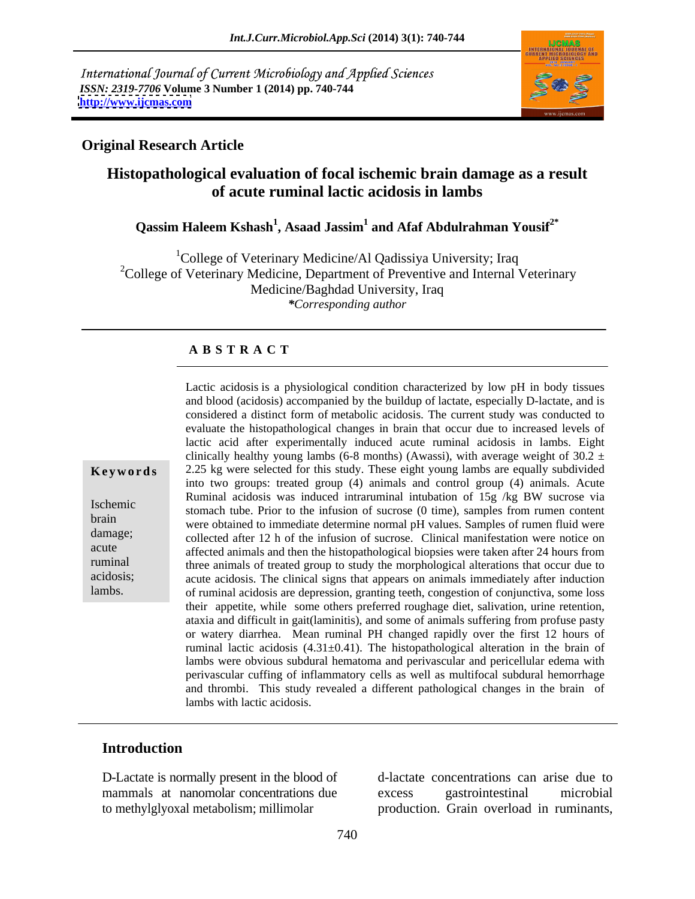International Journal of Current Microbiology and Applied Sciences *ISSN: 2319-7706* **Volume 3 Number 1 (2014) pp. 740-744 <http://www.ijcmas.com>**



### **Original Research Article**

## **Histopathological evaluation of focal ischemic brain damage as a result of acute ruminal lactic acidosis in lambs**

## **Qassim Haleem Kshash<sup>1</sup> , Asaad Jassim1 and Afaf Abdulrahman Yousif2\***

<sup>1</sup>College of Veterinary Medicine/Al Qadissiya University; Iraq  $2^2$ College of Veterinary Medicine, Department of Preventive and Internal Veterinary Medicine/Baghdad University, Iraq *\*Corresponding author*

### **A B S T R A C T**

**Keywords** 2.25 kg were selected for this study. These eight young lambs are equally subdivided Ischemic<br>
stomach tube. Prior to the infusion of sucrose (0 time), samples from rumen content brain were obtained to immediate determine normal pH values. Samples from function concentration were obtained to immediate determine normal pH values. Samples of rumen fluid were damage;<br>
collected after 12 h of the infusion of sucrose. Clinical manifestation were notice on acute affected animals and then the histopathological biopsies were taken after 24 hours from ruminal three animals of treated group to study the morphological alterationsthat occur due to acidosis; acute acidosis. The clinical signs that appears on animals immediately after induction lambs. of ruminal acidosis are depression, granting teeth, congestion of conjunctiva, some loss and blood (acidosis) accompanied by the buildup of lactate, especially D-lactate, and is considered a distinct form of metabolic acidosis. The current study was conducted to evaluate the histopathological changes in brain that occur due to increased levels of lactic acid after experimentally induced acute ruminal acidosis in lambs. Eight clinically healthy young lambs (6-8 months) (Awassi), with average weight of 30.2  $\pm$ into two groups: treated group (4) animals and control group (4) animals. Acute Ruminal acidosis was induced intraruminal intubation of 15g /kg BW sucrose via their appetite, while some others preferred roughage diet, salivation, urine retention, ataxia and difficult in gait(laminitis), and some of animals suffering from profuse pasty or watery diarrhea. Mean ruminal PH changed rapidly over the first 12 hours of ruminal lactic acidosis  $(4.31\pm0.41)$ . The histopathological alteration in the brain of lambs were obvious subdural hematoma and perivascular and pericellular edema with perivascular cuffing of inflammatory cells as well as multifocal subdural hemorrhage and thrombi. This study revealed a different pathological changes in the brain of lambs with lactic acidosis.

Lactic acidosis is a physiological condition characterized by low pH in body tissues

### **Introduction**

D-Lactate is normally present in the blood of mammals at nanomolar concentrations due excess gastrointestinal microbial to methylglyoxal metabolism; millimolar

d-lactate concentrations can arise due to excess gastrointestinal microbial production. Grain overload in ruminants,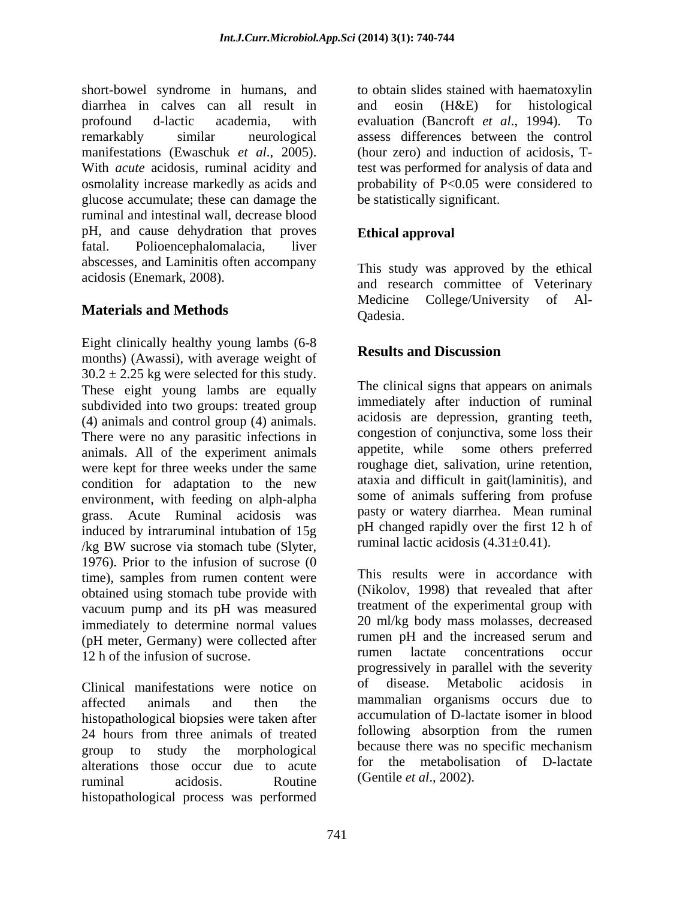short-bowel syndrome in humans, and to obtain slides stained with haematoxylin diarrhea in calves can all result in profound d-lactic academia, with evaluation (Bancroft *et al*., 1994). To remarkably similar neurological assess differences between the control manifestations (Ewaschuk *et al*., 2005). With *acute* acidosis, ruminal acidity and test was performed for analysis of data and osmolality increase markedly as acids and probability of P<0.05 were considered to glucose accumulate; these can damage the ruminal and intestinal wall, decrease blood pH, and cause dehydration that proves fatal. Polioencephalomalacia, liver abscesses, and Laminitis often accompany

Eight clinically healthy young lambs  $(6-8)$ <br>Results and Discussion months) (Awassi), with average weight of  $30.2 \pm 2.25$  kg were selected for this study. These eight young lambs are equally subdivided into two groups: treated group (4) animals and control group (4) animals. There were no any parasitic infections in animals. All of the experiment animals were kept for three weeks under the same condition for adaptation to the new ataxia and difficult in gait (laminitis), and<br>environment with feeding on alph-alpha some of animals suffering from profuse environment, with feeding on alph-alpha grass. Acute Ruminal acidosis was induced by intraruminal intubation of 15g  $\log$  BW sucrose via stomach tube (Slyter, Tuminal lactic acidosis (4.31 $\pm$ 0.41). 1976). Prior to the infusion of sucrose (0 time), samples from rumen content were obtained using stomach tube provide with vacuum pump and its pH was measured immediately to determine normal values (pH meter, Germany) were collected after<br>the infusion of wareses and the increased serum and<br>numeral lactate concentrations occur 12 h of the infusion of sucrose.

affected animals and then the mammalian organisms occurs due to histopathological biopsies were taken after 24 hours from three animals of treated group to study the morphological because there was no specific mechanism alterations those occur due to acute to the metabolisa<br>running acidosis Routine (Gentile *et al.*, 2002). ruminal acidosis. Routine (Gentile *et al.*, 2002). histopathological process was performed

 $(H&E)$  for histological (hour zero) and induction of acidosis, Tbe statistically significant

# **Ethical approval**

acidosis (Enemark, 2008). and research committee of Veterinary **Materials and Methods** Medicine College/University of Al-<br>Cadesia. This study was approved by the ethical Medicine College/University Qadesia.

# **Results and Discussion**

The clinical signs that appears on animals immediately after induction of ruminal acidosis are depression, granting teeth, congestion of conjunctiva, some loss their appetite, while some others preferred roughage diet, salivation, urine retention, ataxia and difficult in gait(laminitis), and some of animals suffering from profuse pasty or watery diarrhea. Mean ruminal pH changed rapidly over the first 12 h of ruminal lactic acidosis (4.31±0.41).

Clinical manifestations were notice on of disease. Metabolic acidosis in This results were in accordance with (Nikolov, 1998) that revealed that after treatment of the experimental group with 20 ml/kg body mass molasses, decreased rumen pH and the increased serum and rumen lactate concentrations occur progressively in parallel with the severity of disease. Metabolic acidosis in accumulation of D-lactate isomer in blood following absorption from the rumen for the metabolisation of D-lactate (Gentile *et al*., 2002).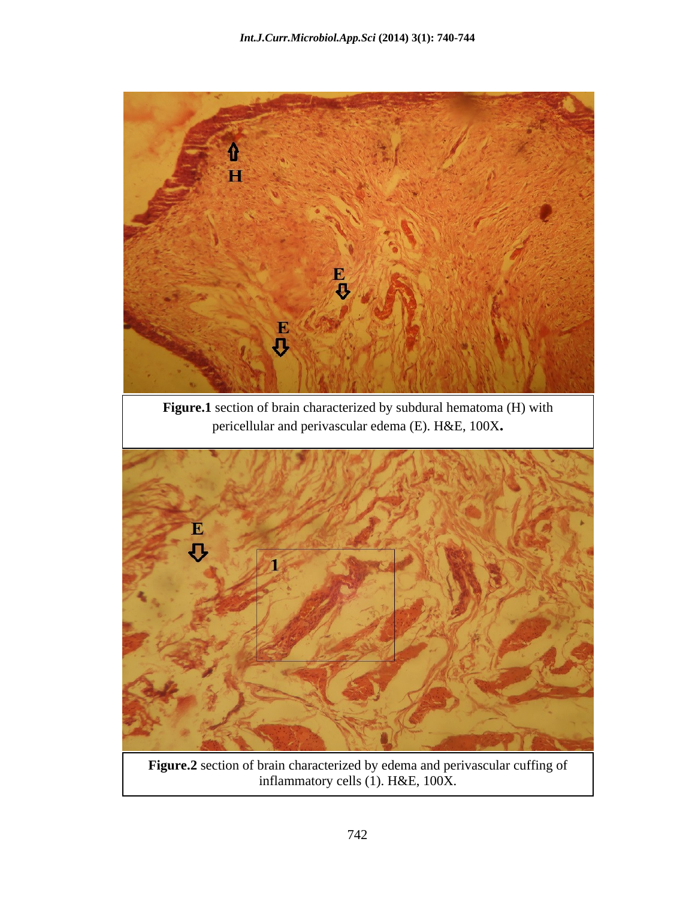

**Figure.2** section of brain characterized by edema and perivascular cuffing of inflammatory cells (1). H&E, 100X.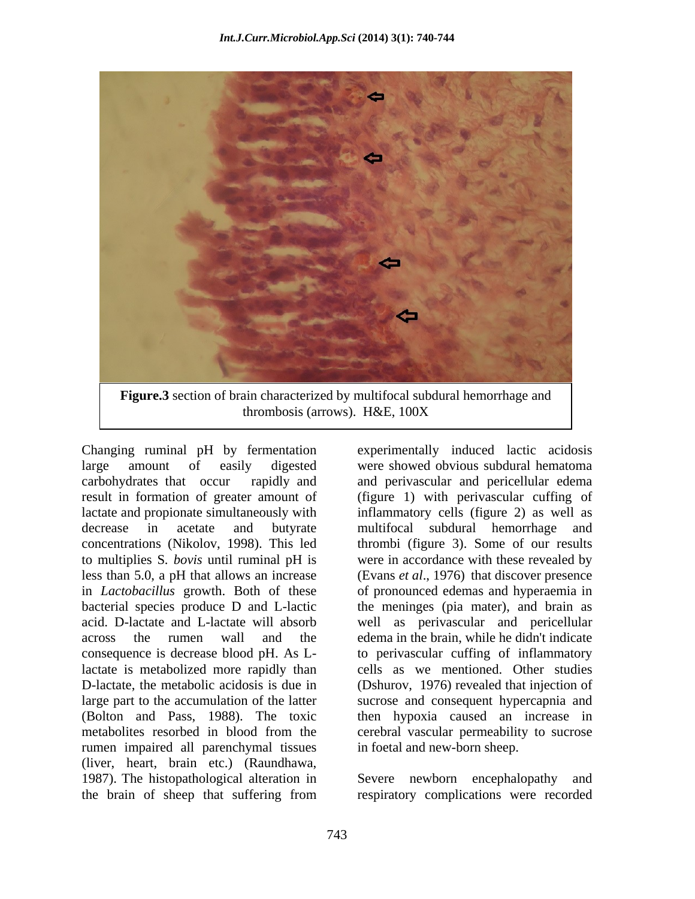

result in formation of greater amount of lactate is metabolized more rapidly than rumen impaired all parenchymal tissues (liver, heart, brain etc.) (Raundhawa, 1987). The histopathological alteration in Severe newborn encephalopathy and the brain of sheep that suffering from

Changing ruminal pH by fermentation experimentally induced lactic acidosis large amount of easily digested were showed obvious subdural hematoma carbohydrates that occur rapidly and and perivascular and pericellular edema lactate and propionate simultaneously with inflammatory cells (figure 2) as well as decrease in acetate and butyrate multifocal subdural hemorrhage and concentrations (Nikolov, 1998). This led thrombi (figure 3). Some of our results to multiplies S*. bovis* until ruminal pH is were in accordance with these revealed by less than 5.0, a pH that allows an increase (Evans *et al*., 1976) that discover presence in *Lactobacillus* growth. Both of these of pronounced edemas and hyperaemia in bacterial species produce D and L-lactic the meninges (pia mater), and brain as acid. D-lactate and L-lactate will absorb well as perivascular and pericellular across the rumen wall and the edema in the brain, while he didn't indicate consequence is decrease blood pH. As L-to perivascular cuffing of inflammatory D-lactate, the metabolic acidosis is due in (Dshurov, 1976) revealed that injection of large part to the accumulation of the latter sucrose and consequent hypercapnia and (Bolton and Pass, 1988). The toxic then hypoxia caused an increase in metabolites resorbed in blood from the cerebral vascular permeability to sucrose (figure 1) with perivascular cuffing of cells as we mentioned. Other studies in foetal and new-born sheep.

> Severe newborn encephalopathy respiratory complications were recorded